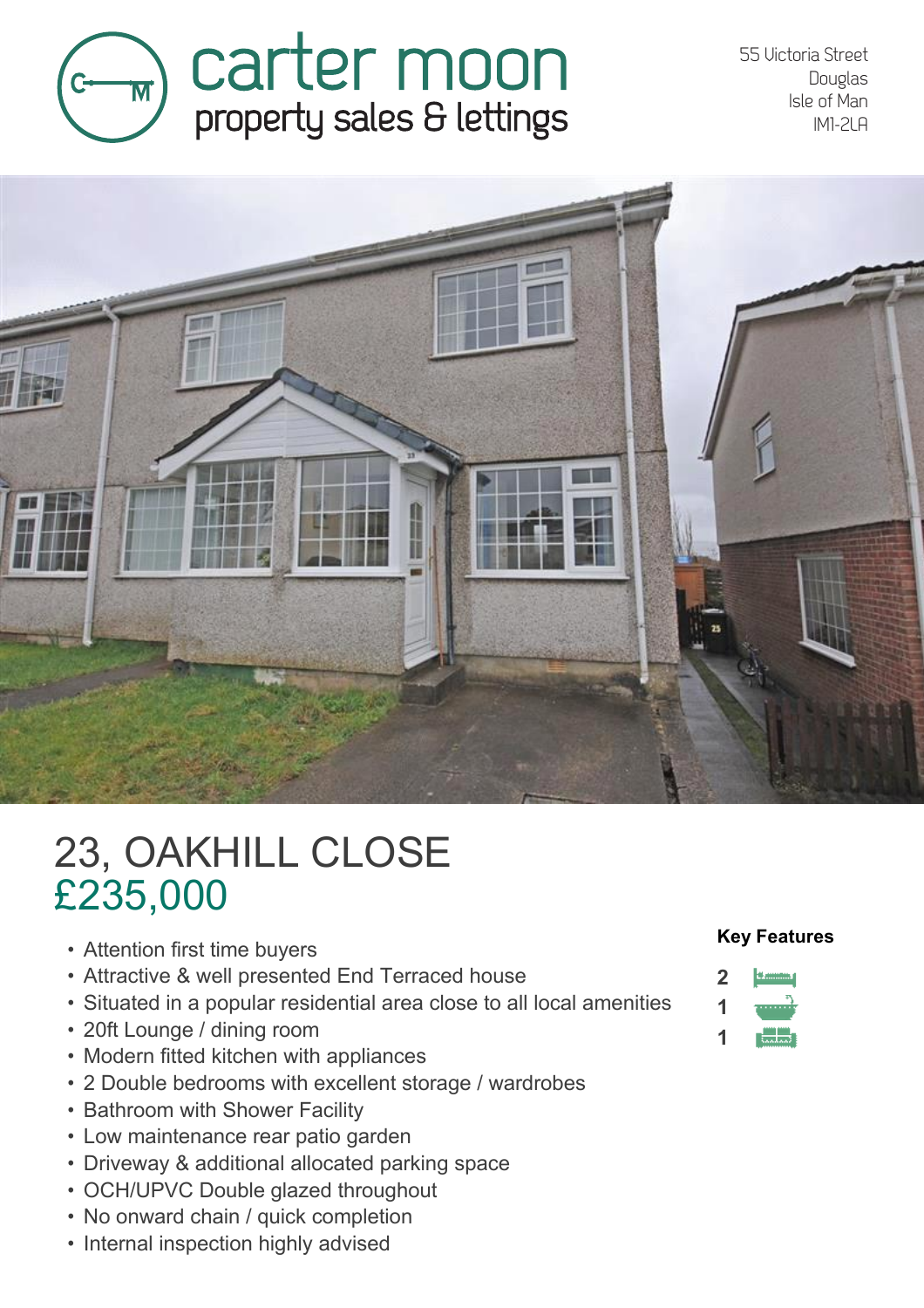

# Carter moon

55 Victoria Street Douglas Isle of Man IM1-2LA



### 23, OAKHILL CLOSE £235,000

- Attention first time buyers
- Attractive & well presented End Terraced house
- Situated in a popular residential area close to all local amenities
- 20ft Lounge / dining room
- Modern fitted kitchen with appliances
- 2 Double bedrooms with excellent storage / wardrobes
- Bathroom with Shower Facility
- Low maintenance rear patio garden
- Driveway & additional allocated parking space
- OCH/UPVC Double glazed throughout
- No onward chain / quick completion
- Internal inspection highly advised

#### **Key Features**

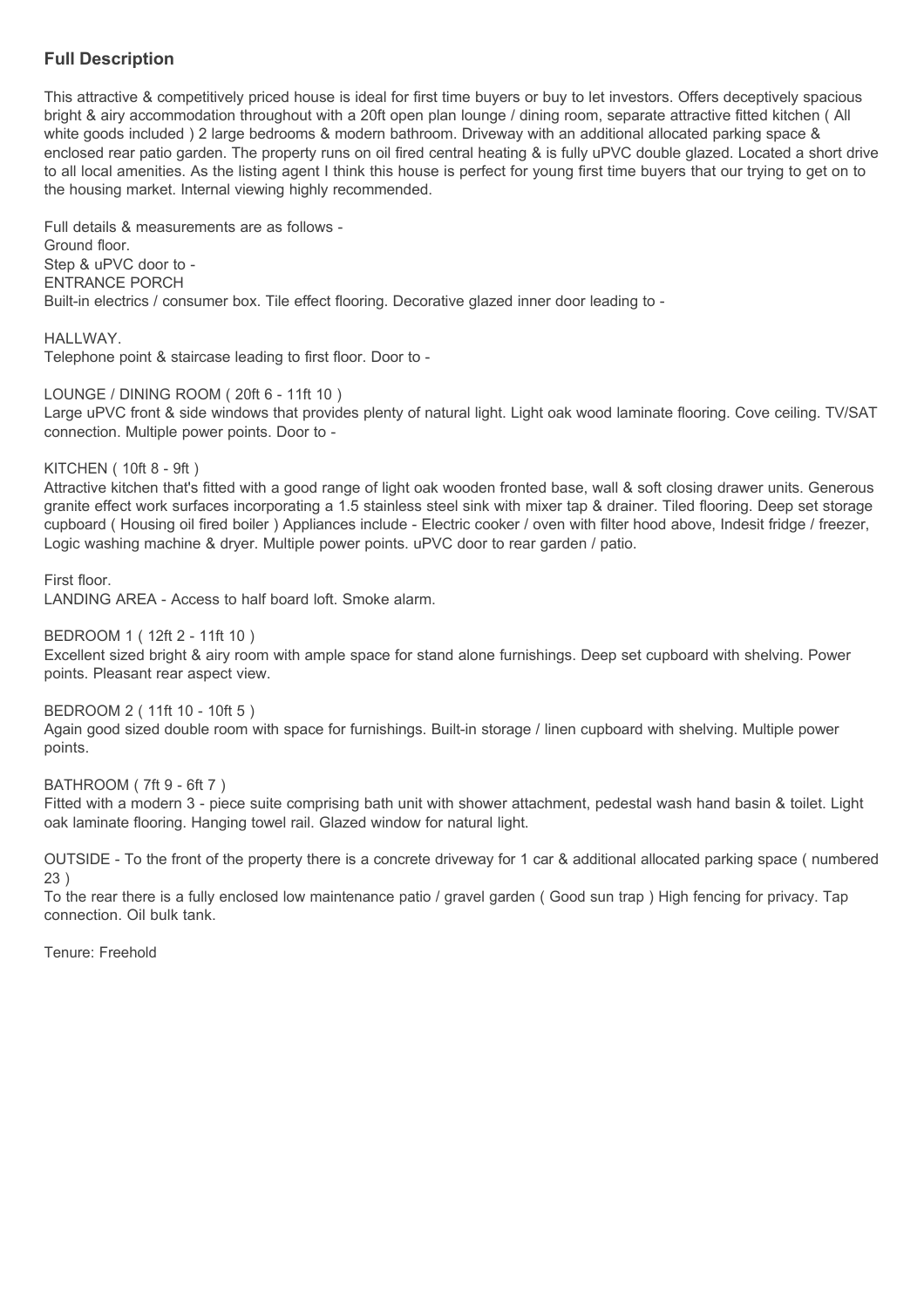#### **Full Description**

This attractive & competitively priced house is ideal for first time buyers or buy to let investors. Offers deceptively spacious bright & airy accommodation throughout with a 20ft open plan lounge / dining room, separate attractive fitted kitchen ( All white goods included ) 2 large bedrooms & modern bathroom. Driveway with an additional allocated parking space & enclosed rear patio garden. The property runs on oil fired central heating & is fully uPVC double glazed. Located a short drive to all local amenities. As the listing agent I think this house is perfect for young first time buyers that our trying to get on to the housing market. Internal viewing highly recommended.

Full details & measurements are as follows - Ground floor. Step & uPVC door to - ENTRANCE PORCH Built-in electrics / consumer box. Tile effect flooring. Decorative glazed inner door leading to -

HALLWAY. Telephone point & staircase leading to first floor. Door to -

LOUNGE / DINING ROOM ( 20ft 6 - 11ft 10 ) Large uPVC front & side windows that provides plenty of natural light. Light oak wood laminate flooring. Cove ceiling. TV/SAT connection. Multiple power points. Door to -

KITCHEN ( 10ft 8 - 9ft )

Attractive kitchen that's fitted with a good range of light oak wooden fronted base, wall & soft closing drawer units. Generous granite effect work surfaces incorporating a 1.5 stainless steel sink with mixer tap & drainer. Tiled flooring. Deep set storage cupboard ( Housing oil fired boiler ) Appliances include - Electric cooker / oven with filter hood above, Indesit fridge / freezer, Logic washing machine & dryer. Multiple power points. uPVC door to rear garden / patio.

First floor.

LANDING AREA - Access to half board loft. Smoke alarm.

BEDROOM 1 ( 12ft 2 - 11ft 10 )

Excellent sized bright & airy room with ample space for stand alone furnishings. Deep set cupboard with shelving. Power points. Pleasant rear aspect view.

BEDROOM 2 ( 11ft 10 - 10ft 5 )

Again good sized double room with space for furnishings. Built-in storage / linen cupboard with shelving. Multiple power points.

BATHROOM ( 7ft 9 - 6ft 7 )

Fitted with a modern 3 - piece suite comprising bath unit with shower attachment, pedestal wash hand basin & toilet. Light oak laminate flooring. Hanging towel rail. Glazed window for natural light.

OUTSIDE - To the front of the property there is a concrete driveway for 1 car & additional allocated parking space ( numbered 23 )

To the rear there is a fully enclosed low maintenance patio / gravel garden ( Good sun trap ) High fencing for privacy. Tap connection. Oil bulk tank.

Tenure: Freehold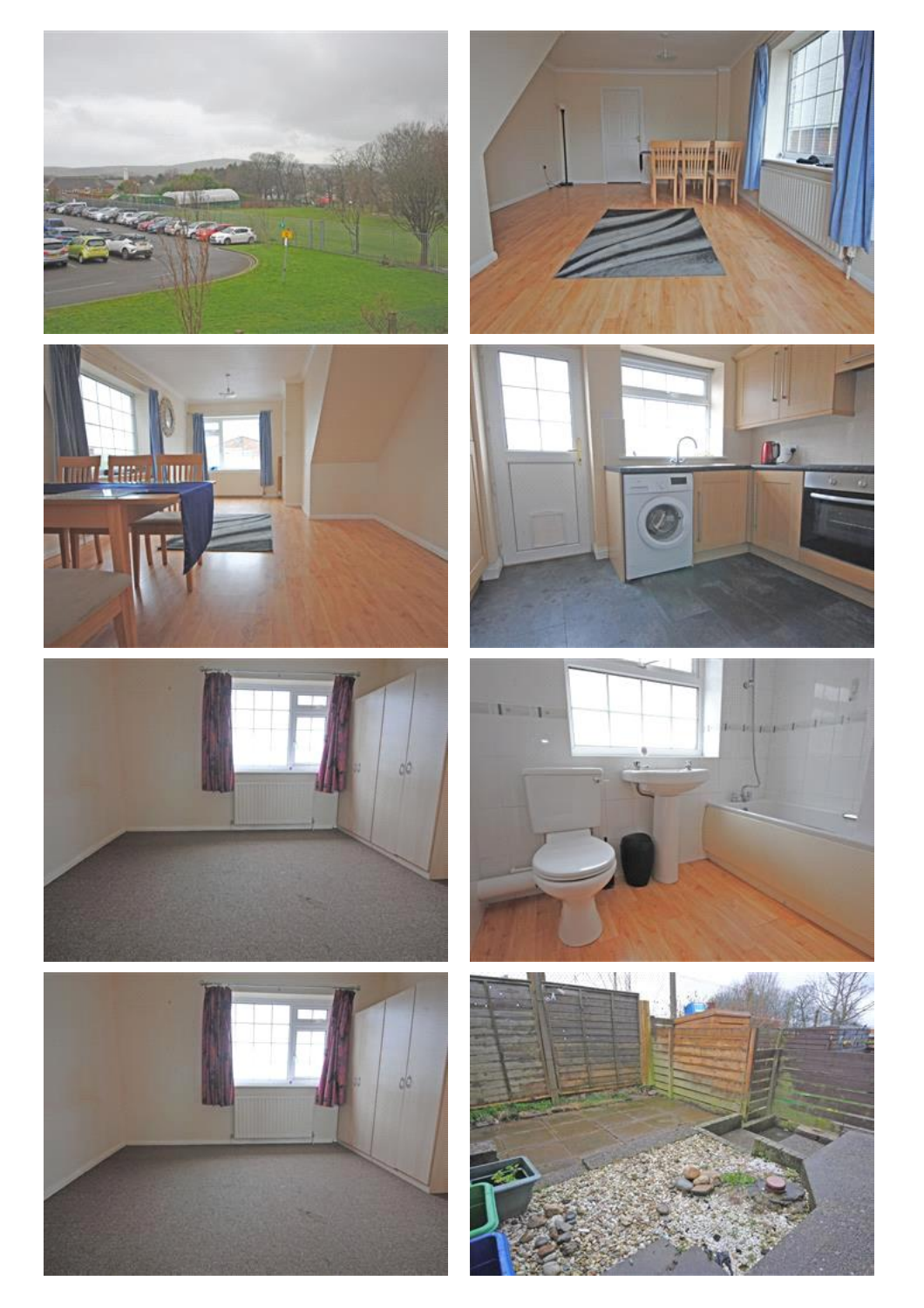